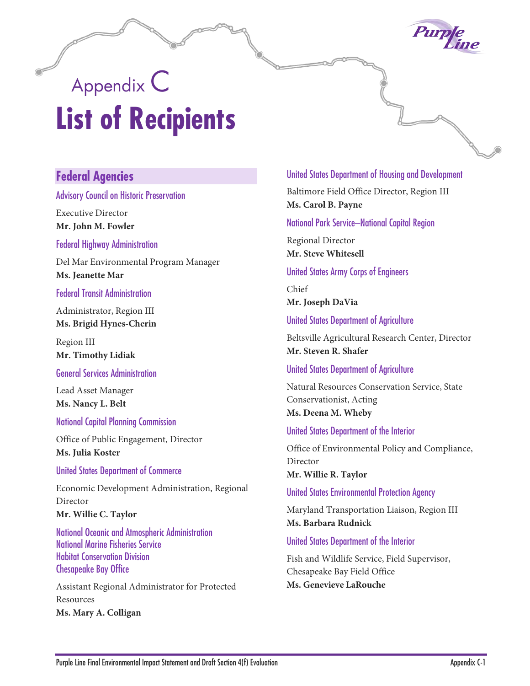

# Appendix C **List of Recipients**

## **Federal Agencies**

#### Advisory Council on Historic Preservation

Executive Director **Mr. John M. Fowler**

#### Federal Highway Administration

Del Mar Environmental Program Manager **Ms. Jeanette Mar**

#### Federal Transit Administration

Administrator, Region III **Ms. Brigid Hynes-Cherin**

Region III **Mr. Timothy Lidiak**

#### General Services Administration

Lead Asset Manager **Ms. Nancy L. Belt**

#### National Capital Planning Commission

Office of Public Engagement, Director **Ms. Julia Koster**

#### United States Department of Commerce

Economic Development Administration, Regional Director **Mr. Willie C. Taylor**

National Oceanic and Atmospheric Administration National Marine Fisheries Service Habitat Conservation Division Chesapeake Bay Office

Assistant Regional Administrator for Protected Resources **Ms. Mary A. Colligan**

#### United States Department of Housing and Development

Baltimore Field Office Director, Region III **Ms. Carol B. Payne**

#### National Park Service–National Capital Region

Regional Director **Mr. Steve Whitesell**

#### United States Army Corps of Engineers

Chief **Mr. Joseph DaVia**

#### United States Department of Agriculture

Beltsville Agricultural Research Center, Director **Mr. Steven R. Shafer**

#### United States Department of Agriculture

Natural Resources Conservation Service, State Conservationist, Acting **Ms. Deena M. Wheby**

#### United States Department of the Interior

Office of Environmental Policy and Compliance, Director **Mr. Willie R. Taylor**

#### United States Environmental Protection Agency

Maryland Transportation Liaison, Region III **Ms. Barbara Rudnick**

#### United States Department of the Interior

Fish and Wildlife Service, Field Supervisor, Chesapeake Bay Field Office **Ms. Genevieve LaRouche**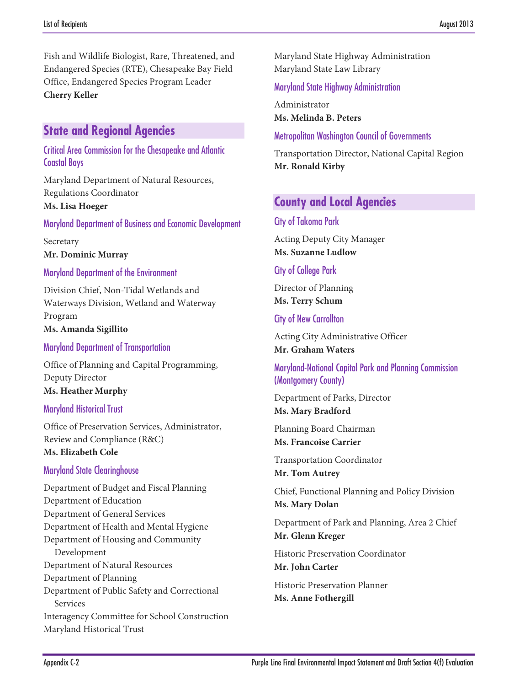Fish and Wildlife Biologist, Rare, Threatened, and Endangered Species (RTE), Chesapeake Bay Field Office, Endangered Species Program Leader **Cherry Keller**

## **State and Regional Agencies**

#### Critical Area Commission for the Chesapeake and Atlantic Coastal Bays

Maryland Department of Natural Resources, Regulations Coordinator **Ms. Lisa Hoeger**

#### Maryland Department of Business and Economic Development

Secretary **Mr. Dominic Murray**

#### Maryland Department of the Environment

Division Chief, Non-Tidal Wetlands and Waterways Division, Wetland and Waterway Program

**Ms. Amanda Sigillito**

Maryland Department of Transportation

Office of Planning and Capital Programming, Deputy Director **Ms. Heather Murphy**

#### Maryland Historical Trust

Office of Preservation Services, Administrator, Review and Compliance (R&C) **Ms. Elizabeth Cole**

#### Maryland State Clearinghouse

Department of Budget and Fiscal Planning Department of Education Department of General Services Department of Health and Mental Hygiene Department of Housing and Community Development Department of Natural Resources Department of Planning Department of Public Safety and Correctional Services Interagency Committee for School Construction Maryland Historical Trust

Maryland State Highway Administration Maryland State Law Library

Maryland State Highway Administration

Administrator **Ms. Melinda B. Peters**

#### Metropolitan Washington Council of Governments

Transportation Director, National Capital Region **Mr. Ronald Kirby**

## **County and Local Agencies**

#### City of Takoma Park

Acting Deputy City Manager **Ms. Suzanne Ludlow**

#### City of College Park

Director of Planning **Ms. Terry Schum**

#### City of New Carrollton

Acting City Administrative Officer **Mr. Graham Waters**

#### Maryland-National Capital Park and Planning Commission (Montgomery County)

Department of Parks, Director **Ms. Mary Bradford**

Planning Board Chairman **Ms. Francoise Carrier**

Transportation Coordinator **Mr. Tom Autrey**

Chief, Functional Planning and Policy Division **Ms. Mary Dolan**

Department of Park and Planning, Area 2 Chief **Mr. Glenn Kreger**

Historic Preservation Coordinator **Mr. John Carter**

Historic Preservation Planner **Ms. Anne Fothergill**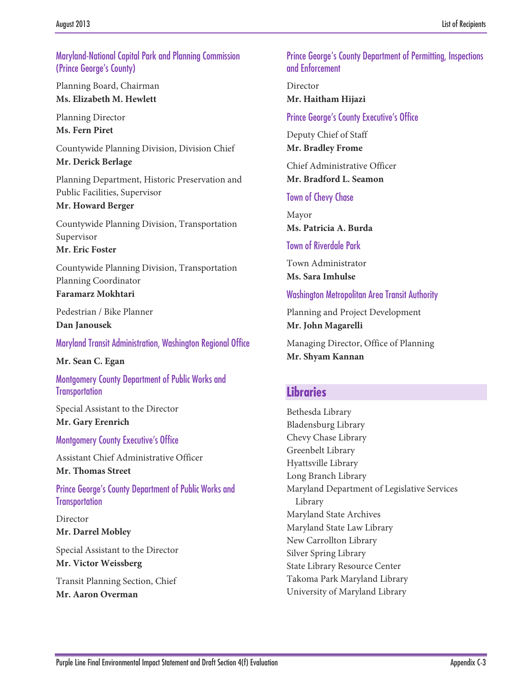#### Maryland-National Capital Park and Planning Commission (Prince George's County)

Planning Board, Chairman **Ms. Elizabeth M. Hewlett**

Planning Director **Ms. Fern Piret**

Countywide Planning Division, Division Chief **Mr. Derick Berlage**

Planning Department, Historic Preservation and Public Facilities, Supervisor

**Mr. Howard Berger**

Countywide Planning Division, Transportation Supervisor

**Mr. Eric Foster**

Countywide Planning Division, Transportation Planning Coordinator **Faramarz Mokhtari**

Pedestrian / Bike Planner **Dan Janousek**

Maryland Transit Administration, Washington Regional Office

**Mr. Sean C. Egan**

Montgomery County Department of Public Works and **Transportation** 

Special Assistant to the Director **Mr. Gary Erenrich**

Montgomery County Executive's Office

Assistant Chief Administrative Officer

**Mr. Thomas Street**

Prince George's County Department of Public Works and **Transportation** 

Director **Mr. Darrel Mobley**

Special Assistant to the Director **Mr. Victor Weissberg**

Transit Planning Section, Chief **Mr. Aaron Overman**

Prince George's County Department of Permitting, Inspections and Enforcement

Director **Mr. Haitham Hijazi**

Prince George's County Executive's Office

Deputy Chief of Staff **Mr. Bradley Frome**

Chief Administrative Officer **Mr. Bradford L. Seamon**

Town of Chevy Chase

Mayor **Ms. Patricia A. Burda**

Town of Riverdale Park

Town Administrator **Ms. Sara Imhulse**

Washington Metropolitan Area Transit Authority

Planning and Project Development **Mr. John Magarelli**

Managing Director, Office of Planning **Mr. Shyam Kannan**

# **Libraries**

Bethesda Library Bladensburg Library Chevy Chase Library Greenbelt Library Hyattsville Library Long Branch Library Maryland Department of Legislative Services Library Maryland State Archives Maryland State Law Library New Carrollton Library Silver Spring Library State Library Resource Center Takoma Park Maryland Library University of Maryland Library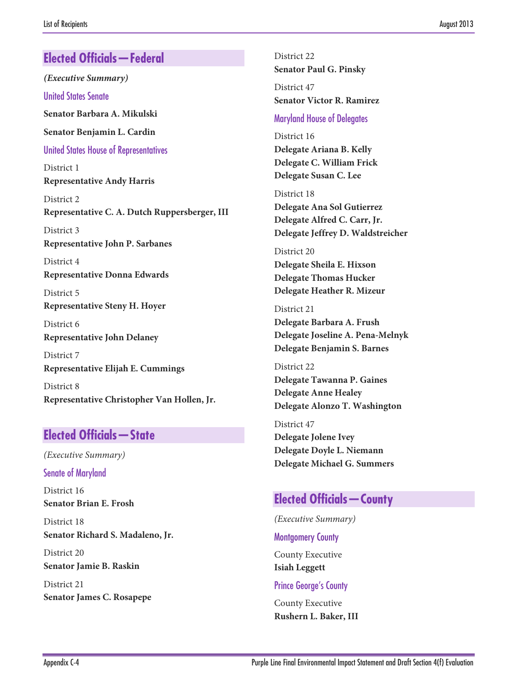# **Elected Officials—Federal**

*(Executive Summary)*

United States Senate

**Senator Barbara A. Mikulski**

**Senator Benjamin L. Cardin**

United States House of Representatives

District 1 **Representative Andy Harris**

District 2 **Representative C. A. Dutch Ruppersberger, III**

District 3 **Representative John P. Sarbanes**

District 4 **Representative Donna Edwards**

District 5 **Representative Steny H. Hoyer**

District 6 **Representative John Delaney**

District 7 **Representative Elijah E. Cummings**

District 8 **Representative Christopher Van Hollen, Jr.**

# **Elected Officials—State**

*(Executive Summary)*

Senate of Maryland

District 16 **Senator Brian E. Frosh**

District 18 **Senator Richard S. Madaleno, Jr.**

District 20 **Senator Jamie B. Raskin**

District 21 **Senator James C. Rosapepe**

District 22 **Senator Paul G. Pinsky** District 47 **Senator Victor R. Ramirez**

#### Maryland House of Delegates

District 16 **Delegate Ariana B. Kelly Delegate C. William Frick Delegate Susan C. Lee**

District 18 **Delegate Ana Sol Gutierrez Delegate Alfred C. Carr, Jr. Delegate Jeffrey D. Waldstreicher**

District 20 **Delegate Sheila E. Hixson Delegate Thomas Hucker Delegate Heather R. Mizeur**

District 21 **Delegate Barbara A. Frush Delegate Joseline A. Pena-Melnyk Delegate Benjamin S. Barnes**

District 22 **Delegate Tawanna P. Gaines Delegate Anne Healey Delegate Alonzo T. Washington**

District 47 **Delegate Jolene Ivey Delegate Doyle L. Niemann Delegate Michael G. Summers**

# **Elected Officials—County**

*(Executive Summary)*

Montgomery County

County Executive **Isiah Leggett**

Prince George's County

County Executive **Rushern L. Baker, III**